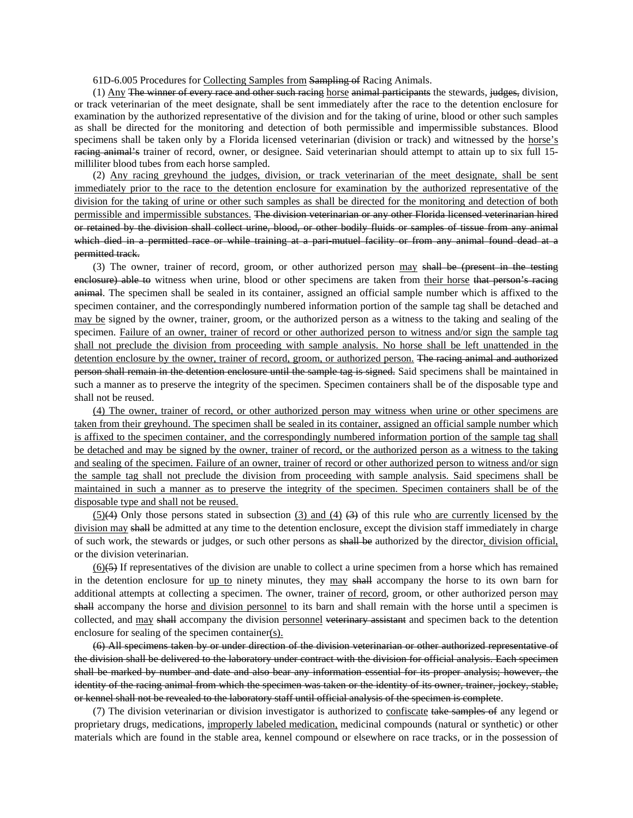61D-6.005 Procedures for Collecting Samples from Sampling of Racing Animals.

(1) Any The winner of every race and other such racing horse animal participants the stewards, judges, division, or track veterinarian of the meet designate, shall be sent immediately after the race to the detention enclosure for examination by the authorized representative of the division and for the taking of urine, blood or other such samples as shall be directed for the monitoring and detection of both permissible and impermissible substances. Blood specimens shall be taken only by a Florida licensed veterinarian (division or track) and witnessed by the horse's racing animal's trainer of record, owner, or designee. Said veterinarian should attempt to attain up to six full 15milliliter blood tubes from each horse sampled.

(2) Any racing greyhound the judges, division, or track veterinarian of the meet designate, shall be sent immediately prior to the race to the detention enclosure for examination by the authorized representative of the division for the taking of urine or other such samples as shall be directed for the monitoring and detection of both permissible and impermissible substances. The division veterinarian or any other Florida licensed veterinarian hired or retained by the division shall collect urine, blood, or other bodily fluids or samples of tissue from any animal which died in a permitted race or while training at a pari-mutuel facility or from any animal found dead at a permitted track.

(3) The owner, trainer of record, groom, or other authorized person may shall be (present in the testing enclosure) able to witness when urine, blood or other specimens are taken from their horse that person's racing animal. The specimen shall be sealed in its container, assigned an official sample number which is affixed to the specimen container, and the correspondingly numbered information portion of the sample tag shall be detached and may be signed by the owner, trainer, groom, or the authorized person as a witness to the taking and sealing of the specimen. Failure of an owner, trainer of record or other authorized person to witness and/or sign the sample tag shall not preclude the division from proceeding with sample analysis. No horse shall be left unattended in the detention enclosure by the owner, trainer of record, groom, or authorized person. The racing animal and authorized person shall remain in the detention enclosure until the sample tag is signed. Said specimens shall be maintained in such a manner as to preserve the integrity of the specimen. Specimen containers shall be of the disposable type and shall not be reused.

(4) The owner, trainer of record, or other authorized person may witness when urine or other specimens are taken from their greyhound. The specimen shall be sealed in its container, assigned an official sample number which is affixed to the specimen container, and the correspondingly numbered information portion of the sample tag shall be detached and may be signed by the owner, trainer of record, or the authorized person as a witness to the taking and sealing of the specimen. Failure of an owner, trainer of record or other authorized person to witness and/or sign the sample tag shall not preclude the division from proceeding with sample analysis. Said specimens shall be maintained in such a manner as to preserve the integrity of the specimen. Specimen containers shall be of the disposable type and shall not be reused.

 $(5)(4)$  Only those persons stated in subsection (3) and (4)  $(3)$  of this rule who are currently licensed by the division may shall be admitted at any time to the detention enclosure, except the division staff immediately in charge of such work, the stewards or judges, or such other persons as shall be authorized by the director, division official, or the division veterinarian.

 $(6)$ (5) If representatives of the division are unable to collect a urine specimen from a horse which has remained in the detention enclosure for up to ninety minutes, they may shall accompany the horse to its own barn for additional attempts at collecting a specimen. The owner, trainer of record, groom, or other authorized person may shall accompany the horse and division personnel to its barn and shall remain with the horse until a specimen is collected, and may shall accompany the division personnel veterinary assistant and specimen back to the detention enclosure for sealing of the specimen container(s).

(6) All specimens taken by or under direction of the division veterinarian or other authorized representative of the division shall be delivered to the laboratory under contract with the division for official analysis. Each specimen shall be marked by number and date and also bear any information essential for its proper analysis; however, the identity of the racing animal from which the specimen was taken or the identity of its owner, trainer, jockey, stable, or kennel shall not be revealed to the laboratory staff until official analysis of the specimen is complete.

(7) The division veterinarian or division investigator is authorized to confiscate take samples of any legend or proprietary drugs, medications, improperly labeled medication, medicinal compounds (natural or synthetic) or other materials which are found in the stable area, kennel compound or elsewhere on race tracks, or in the possession of